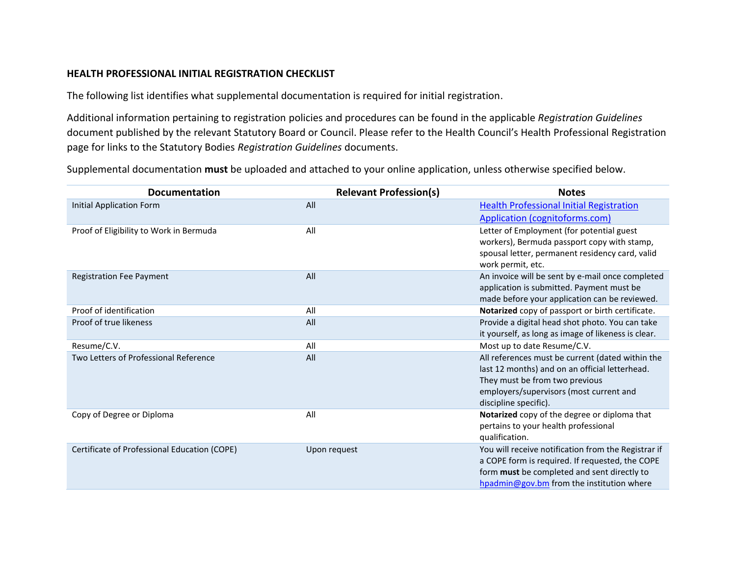## **HEALTH PROFESSIONAL INITIAL REGISTRATION CHECKLIST**

The following list identifies what supplemental documentation is required for initial registration.

Additional information pertaining to registration policies and procedures can be found in the applicable *Registration Guidelines* document published by the relevant Statutory Board or Council. Please refer to the Health Council's Health Professional Registration page for links to the Statutory Bodies *Registration Guidelines* documents.

Supplemental documentation **must** be uploaded and attached to your online application, unless otherwise specified below.

| <b>Documentation</b>                         | <b>Relevant Profession(s)</b> | <b>Notes</b>                                                          |
|----------------------------------------------|-------------------------------|-----------------------------------------------------------------------|
| Initial Application Form                     | All                           | <b>Health Professional Initial Registration</b>                       |
|                                              |                               | Application (cognitoforms.com)                                        |
| Proof of Eligibility to Work in Bermuda      | All                           | Letter of Employment (for potential guest                             |
|                                              |                               | workers), Bermuda passport copy with stamp,                           |
|                                              |                               | spousal letter, permanent residency card, valid                       |
| <b>Registration Fee Payment</b>              | All                           | work permit, etc.<br>An invoice will be sent by e-mail once completed |
|                                              |                               | application is submitted. Payment must be                             |
|                                              |                               | made before your application can be reviewed.                         |
| Proof of identification                      | All                           | Notarized copy of passport or birth certificate.                      |
| Proof of true likeness                       | All                           | Provide a digital head shot photo. You can take                       |
|                                              |                               | it yourself, as long as image of likeness is clear.                   |
| Resume/C.V.                                  | All                           | Most up to date Resume/C.V.                                           |
| Two Letters of Professional Reference        | All                           | All references must be current (dated within the                      |
|                                              |                               | last 12 months) and on an official letterhead.                        |
|                                              |                               | They must be from two previous                                        |
|                                              |                               | employers/supervisors (most current and                               |
|                                              |                               | discipline specific).                                                 |
| Copy of Degree or Diploma                    | All                           | Notarized copy of the degree or diploma that                          |
|                                              |                               | pertains to your health professional<br>qualification.                |
| Certificate of Professional Education (COPE) | Upon request                  | You will receive notification from the Registrar if                   |
|                                              |                               | a COPE form is required. If requested, the COPE                       |
|                                              |                               | form must be completed and sent directly to                           |
|                                              |                               | hpadmin@gov.bm from the institution where                             |
|                                              |                               |                                                                       |